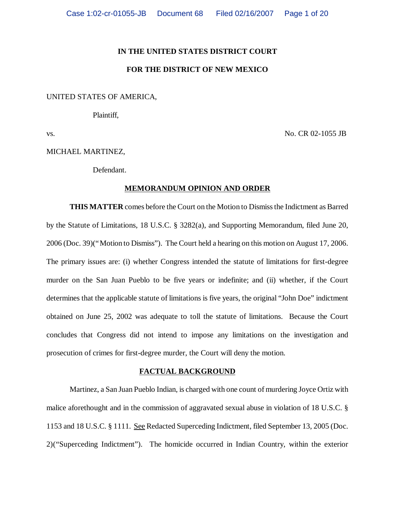#### **IN THE UNITED STATES DISTRICT COURT**

# **FOR THE DISTRICT OF NEW MEXICO**

## UNITED STATES OF AMERICA,

Plaintiff,

vs. No. CR 02-1055 JB

#### MICHAEL MARTINEZ,

Defendant.

## **MEMORANDUM OPINION AND ORDER**

**THIS MATTER** comes before the Court on the Motion to Dismiss the Indictment as Barred by the Statute of Limitations, 18 U.S.C. § 3282(a), and Supporting Memorandum, filed June 20, 2006 (Doc. 39)("Motion to Dismiss"). The Court held a hearing on this motion on August 17, 2006. The primary issues are: (i) whether Congress intended the statute of limitations for first-degree murder on the San Juan Pueblo to be five years or indefinite; and (ii) whether, if the Court determines that the applicable statute of limitations is five years, the original "John Doe" indictment obtained on June 25, 2002 was adequate to toll the statute of limitations. Because the Court concludes that Congress did not intend to impose any limitations on the investigation and prosecution of crimes for first-degree murder, the Court will deny the motion.

### **FACTUAL BACKGROUND**

Martinez, a San Juan Pueblo Indian, is charged with one count of murdering Joyce Ortiz with malice aforethought and in the commission of aggravated sexual abuse in violation of 18 U.S.C. § 1153 and 18 U.S.C. § 1111. See Redacted Superceding Indictment, filed September 13, 2005 (Doc. 2)("Superceding Indictment"). The homicide occurred in Indian Country, within the exterior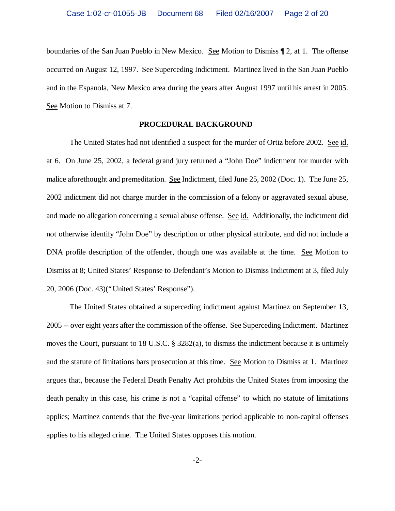boundaries of the San Juan Pueblo in New Mexico. See Motion to Dismiss 1 2, at 1. The offense occurred on August 12, 1997. See Superceding Indictment. Martinez lived in the San Juan Pueblo and in the Espanola, New Mexico area during the years after August 1997 until his arrest in 2005. See Motion to Dismiss at 7.

#### **PROCEDURAL BACKGROUND**

The United States had not identified a suspect for the murder of Ortiz before 2002. See id. at 6. On June 25, 2002, a federal grand jury returned a "John Doe" indictment for murder with malice aforethought and premeditation. See Indictment, filed June 25, 2002 (Doc. 1). The June 25, 2002 indictment did not charge murder in the commission of a felony or aggravated sexual abuse, and made no allegation concerning a sexual abuse offense. See id. Additionally, the indictment did not otherwise identify "John Doe" by description or other physical attribute, and did not include a DNA profile description of the offender, though one was available at the time. See Motion to Dismiss at 8; United States' Response to Defendant's Motion to Dismiss Indictment at 3, filed July 20, 2006 (Doc. 43)("United States' Response").

The United States obtained a superceding indictment against Martinez on September 13, 2005 -- over eight years after the commission of the offense. See Superceding Indictment. Martinez moves the Court, pursuant to 18 U.S.C. § 3282(a), to dismiss the indictment because it is untimely and the statute of limitations bars prosecution at this time. See Motion to Dismiss at 1. Martinez argues that, because the Federal Death Penalty Act prohibits the United States from imposing the death penalty in this case, his crime is not a "capital offense" to which no statute of limitations applies; Martinez contends that the five-year limitations period applicable to non-capital offenses applies to his alleged crime. The United States opposes this motion.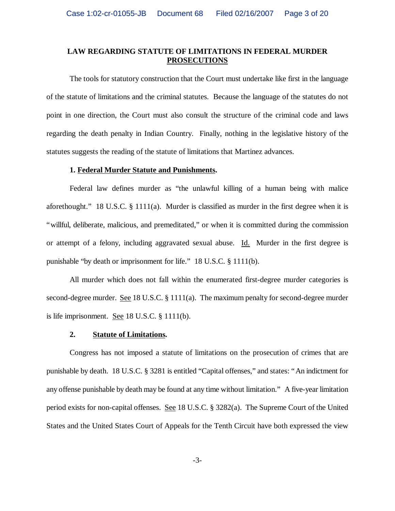# **LAW REGARDING STATUTE OF LIMITATIONS IN FEDERAL MURDER PROSECUTIONS**

The tools for statutory construction that the Court must undertake like first in the language of the statute of limitations and the criminal statutes. Because the language of the statutes do not point in one direction, the Court must also consult the structure of the criminal code and laws regarding the death penalty in Indian Country. Finally, nothing in the legislative history of the statutes suggests the reading of the statute of limitations that Martinez advances.

#### **1. Federal Murder Statute and Punishments.**

Federal law defines murder as "the unlawful killing of a human being with malice aforethought." 18 U.S.C. § 1111(a). Murder is classified as murder in the first degree when it is "willful, deliberate, malicious, and premeditated," or when it is committed during the commission or attempt of a felony, including aggravated sexual abuse. Id. Murder in the first degree is punishable "by death or imprisonment for life." 18 U.S.C. § 1111(b).

All murder which does not fall within the enumerated first-degree murder categories is second-degree murder. <u>See</u> 18 U.S.C. § 1111(a). The maximum penalty for second-degree murder is life imprisonment. See 18 U.S.C. § 1111(b).

#### **2. Statute of Limitations.**

Congress has not imposed a statute of limitations on the prosecution of crimes that are punishable by death. 18 U.S.C. § 3281 is entitled "Capital offenses," and states: "An indictment for any offense punishable by death may be found at any time without limitation." A five-year limitation period exists for non-capital offenses. See 18 U.S.C. § 3282(a). The Supreme Court of the United States and the United States Court of Appeals for the Tenth Circuit have both expressed the view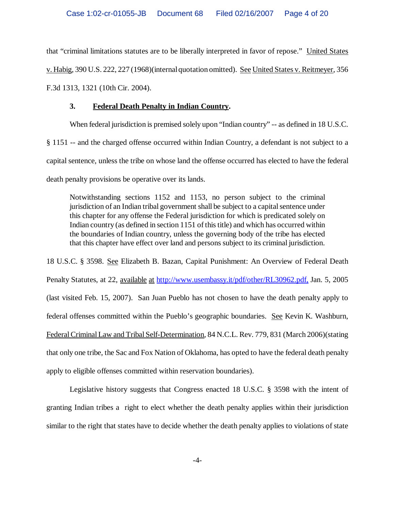that "criminal limitations statutes are to be liberally interpreted in favor of repose." United States v. Habig, 390 U.S. 222, 227 (1968)(internal quotation omitted). See United States v. Reitmeyer, 356 F.3d 1313, 1321 (10th Cir. 2004).

# **3. Federal Death Penalty in Indian Country.**

When federal jurisdiction is premised solely upon "Indian country" -- as defined in 18 U.S.C. § 1151 -- and the charged offense occurred within Indian Country, a defendant is not subject to a capital sentence, unless the tribe on whose land the offense occurred has elected to have the federal death penalty provisions be operative over its lands.

Notwithstanding sections 1152 and 1153, no person subject to the criminal jurisdiction of an Indian tribal government shall be subject to a capital sentence under this chapter for any offense the Federal jurisdiction for which is predicated solely on Indian country (as defined in section 1151 of this title) and which has occurred within the boundaries of Indian country, unless the governing body of the tribe has elected that this chapter have effect over land and persons subject to its criminal jurisdiction.

18 U.S.C. § 3598. See Elizabeth B. Bazan, Capital Punishment: An Overview of Federal Death Penalty Statutes, at 22, available at http://www.usembassy.it/pdf/other/RL30962.pdf, Jan. 5, 2005 (last visited Feb. 15, 2007). San Juan Pueblo has not chosen to have the death penalty apply to federal offenses committed within the Pueblo's geographic boundaries. See Kevin K. Washburn, Federal Criminal Law and Tribal Self-Determination, 84 N.C.L. Rev. 779, 831 (March 2006)(stating that only one tribe, the Sac and Fox Nation of Oklahoma, has opted to have the federal death penalty apply to eligible offenses committed within reservation boundaries).

Legislative history suggests that Congress enacted 18 U.S.C. § 3598 with the intent of granting Indian tribes a right to elect whether the death penalty applies within their jurisdiction similar to the right that states have to decide whether the death penalty applies to violations of state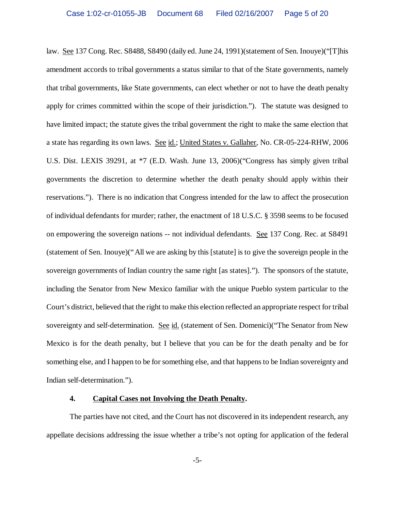law. See 137 Cong. Rec. S8488, S8490 (daily ed. June 24, 1991)(statement of Sen. Inouye)("[T]his amendment accords to tribal governments a status similar to that of the State governments, namely that tribal governments, like State governments, can elect whether or not to have the death penalty apply for crimes committed within the scope of their jurisdiction."). The statute was designed to have limited impact; the statute gives the tribal government the right to make the same election that a state has regarding its own laws. See id.; United States v. Gallaher, No. CR-05-224-RHW, 2006 U.S. Dist. LEXIS 39291, at \*7 (E.D. Wash. June 13, 2006)("Congress has simply given tribal governments the discretion to determine whether the death penalty should apply within their reservations."). There is no indication that Congress intended for the law to affect the prosecution of individual defendants for murder; rather, the enactment of 18 U.S.C. § 3598 seems to be focused on empowering the sovereign nations -- not individual defendants. See 137 Cong. Rec. at S8491 (statement of Sen. Inouye)("All we are asking by this [statute] is to give the sovereign people in the sovereign governments of Indian country the same right [as states]."). The sponsors of the statute, including the Senator from New Mexico familiar with the unique Pueblo system particular to the Court's district, believed that the right to make this election reflected an appropriate respect for tribal sovereignty and self-determination. See id. (statement of Sen. Domenici)("The Senator from New Mexico is for the death penalty, but I believe that you can be for the death penalty and be for something else, and I happen to be for something else, and that happens to be Indian sovereignty and Indian self-determination.").

### **4. Capital Cases not Involving the Death Penalty.**

The parties have not cited, and the Court has not discovered in its independent research, any appellate decisions addressing the issue whether a tribe's not opting for application of the federal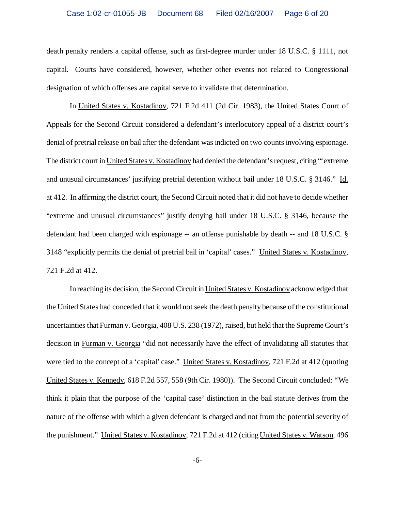death penalty renders a capital offense, such as first-degree murder under 18 U.S.C. § 1111, not capital. Courts have considered, however, whether other events not related to Congressional designation of which offenses are capital serve to invalidate that determination.

In United States v. Kostadinov, 721 F.2d 411 (2d Cir. 1983), the United States Court of Appeals for the Second Circuit considered a defendant's interlocutory appeal of a district court's denial of pretrial release on bail after the defendant was indicted on two counts involving espionage. The district court in United States v. Kostadinov had denied the defendant's request, citing "'extreme and unusual circumstances' justifying pretrial detention without bail under 18 U.S.C. § 3146." Id. at 412. In affirming the district court, the Second Circuit noted that it did not have to decide whether "extreme and unusual circumstances" justify denying bail under 18 U.S.C. § 3146, because the defendant had been charged with espionage -- an offense punishable by death -- and 18 U.S.C. § 3148 "explicitly permits the denial of pretrial bail in 'capital' cases." United States v. Kostadinov, 721 F.2d at 412.

In reaching its decision, the Second Circuit in United States v. Kostadinov acknowledged that the United States had conceded that it would not seek the death penalty because of the constitutional uncertainties that Furman v. Georgia, 408 U.S. 238 (1972), raised, but held that the Supreme Court's decision in Furman v. Georgia "did not necessarily have the effect of invalidating all statutes that were tied to the concept of a 'capital' case." United States v. Kostadinov, 721 F.2d at 412 (quoting United States v. Kennedy, 618 F.2d 557, 558 (9th Cir. 1980)). The Second Circuit concluded: "We think it plain that the purpose of the 'capital case' distinction in the bail statute derives from the nature of the offense with which a given defendant is charged and not from the potential severity of the punishment." United States v. Kostadinov, 721 F.2d at 412 (citing United States v. Watson, 496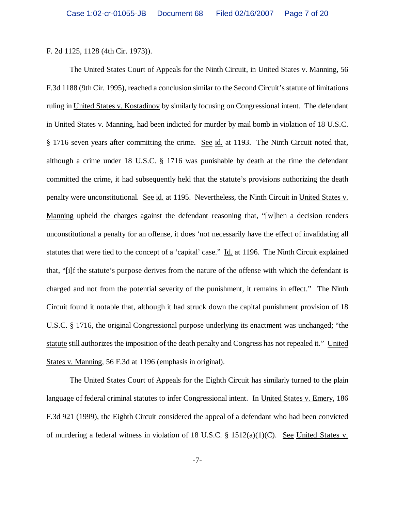F. 2d 1125, 1128 (4th Cir. 1973)).

The United States Court of Appeals for the Ninth Circuit, in United States v. Manning, 56 F.3d 1188 (9th Cir. 1995), reached a conclusion similar to the Second Circuit's statute of limitations ruling in United States v. Kostadinov by similarly focusing on Congressional intent. The defendant in United States v. Manning, had been indicted for murder by mail bomb in violation of 18 U.S.C. § 1716 seven years after committing the crime. See id. at 1193. The Ninth Circuit noted that, although a crime under 18 U.S.C. § 1716 was punishable by death at the time the defendant committed the crime, it had subsequently held that the statute's provisions authorizing the death penalty were unconstitutional. See id. at 1195. Nevertheless, the Ninth Circuit in United States v. Manning upheld the charges against the defendant reasoning that, "[w]hen a decision renders unconstitutional a penalty for an offense, it does 'not necessarily have the effect of invalidating all statutes that were tied to the concept of a 'capital' case." Id. at 1196. The Ninth Circuit explained that, "[i]f the statute's purpose derives from the nature of the offense with which the defendant is charged and not from the potential severity of the punishment, it remains in effect." The Ninth Circuit found it notable that, although it had struck down the capital punishment provision of 18 U.S.C. § 1716, the original Congressional purpose underlying its enactment was unchanged; "the statute still authorizes the imposition of the death penalty and Congress has not repealed it." United States v. Manning, 56 F.3d at 1196 (emphasis in original).

The United States Court of Appeals for the Eighth Circuit has similarly turned to the plain language of federal criminal statutes to infer Congressional intent. In United States v. Emery, 186 F.3d 921 (1999), the Eighth Circuit considered the appeal of a defendant who had been convicted of murdering a federal witness in violation of 18 U.S.C. § 1512(a)(1)(C). See United States v.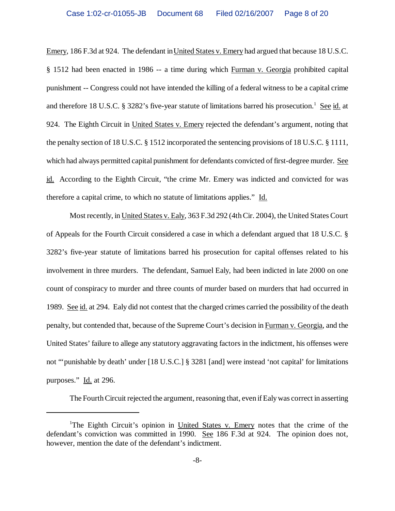Emery, 186 F.3d at 924. The defendant in United States v. Emery had argued that because 18 U.S.C. § 1512 had been enacted in 1986 -- a time during which Furman v. Georgia prohibited capital punishment -- Congress could not have intended the killing of a federal witness to be a capital crime and therefore 18 U.S.C. § 3282's five-year statute of limitations barred his prosecution.<sup>1</sup> See id. at 924. The Eighth Circuit in United States v. Emery rejected the defendant's argument, noting that the penalty section of 18 U.S.C. § 1512 incorporated the sentencing provisions of 18 U.S.C. § 1111, which had always permitted capital punishment for defendants convicted of first-degree murder. See id. According to the Eighth Circuit, "the crime Mr. Emery was indicted and convicted for was therefore a capital crime, to which no statute of limitations applies." Id.

Most recently, in United States v. Ealy, 363 F.3d 292 (4th Cir. 2004), the United States Court of Appeals for the Fourth Circuit considered a case in which a defendant argued that 18 U.S.C. § 3282's five-year statute of limitations barred his prosecution for capital offenses related to his involvement in three murders. The defendant, Samuel Ealy, had been indicted in late 2000 on one count of conspiracy to murder and three counts of murder based on murders that had occurred in 1989. See id. at 294. Ealy did not contest that the charged crimes carried the possibility of the death penalty, but contended that, because of the Supreme Court's decision in Furman v. Georgia, and the United States' failure to allege any statutory aggravating factors in the indictment, his offenses were not "'punishable by death' under [18 U.S.C.] § 3281 [and] were instead 'not capital' for limitations purposes." Id. at 296.

The Fourth Circuit rejected the argument, reasoning that, even if Ealy was correct in asserting

<sup>&</sup>lt;sup>1</sup>The Eighth Circuit's opinion in United States v. Emery notes that the crime of the defendant's conviction was committed in 1990. See 186 F.3d at 924. The opinion does not, however, mention the date of the defendant's indictment.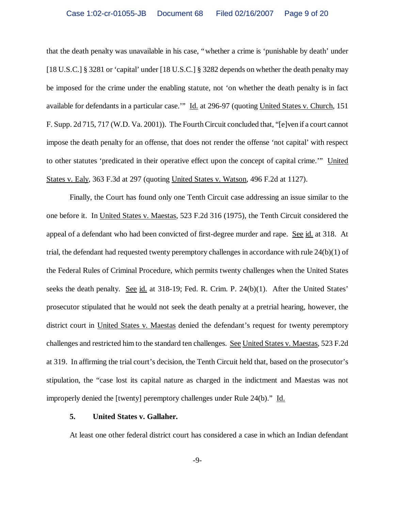that the death penalty was unavailable in his case, "whether a crime is 'punishable by death' under [18 U.S.C.] § 3281 or 'capital' under [18 U.S.C.] § 3282 depends on whether the death penalty may be imposed for the crime under the enabling statute, not 'on whether the death penalty is in fact available for defendants in a particular case.'" Id. at 296-97 (quoting United States v. Church, 151 F. Supp. 2d 715, 717 (W.D. Va. 2001)). The Fourth Circuit concluded that, "[e]ven if a court cannot impose the death penalty for an offense, that does not render the offense 'not capital' with respect to other statutes 'predicated in their operative effect upon the concept of capital crime.'" United States v. Ealy, 363 F.3d at 297 (quoting United States v. Watson, 496 F.2d at 1127).

Finally, the Court has found only one Tenth Circuit case addressing an issue similar to the one before it. In United States v. Maestas, 523 F.2d 316 (1975), the Tenth Circuit considered the appeal of a defendant who had been convicted of first-degree murder and rape. See id. at 318. At trial, the defendant had requested twenty peremptory challenges in accordance with rule 24(b)(1) of the Federal Rules of Criminal Procedure, which permits twenty challenges when the United States seeks the death penalty. See id. at 318-19; Fed. R. Crim. P. 24(b)(1). After the United States' prosecutor stipulated that he would not seek the death penalty at a pretrial hearing, however, the district court in United States v. Maestas denied the defendant's request for twenty peremptory challenges and restricted him to the standard ten challenges. See United States v. Maestas, 523 F.2d at 319. In affirming the trial court's decision, the Tenth Circuit held that, based on the prosecutor's stipulation, the "case lost its capital nature as charged in the indictment and Maestas was not improperly denied the [twenty] peremptory challenges under Rule 24(b)." Id.

### **5. United States v. Gallaher.**

At least one other federal district court has considered a case in which an Indian defendant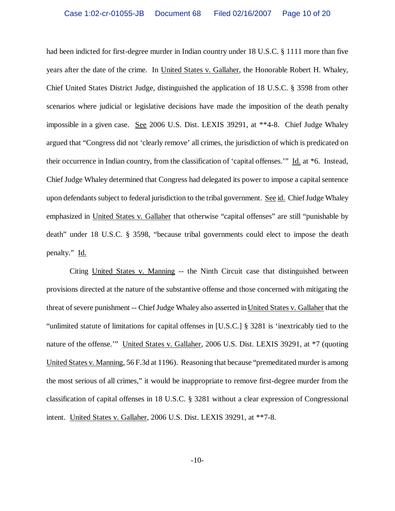had been indicted for first-degree murder in Indian country under 18 U.S.C. § 1111 more than five years after the date of the crime. In United States v. Gallaher, the Honorable Robert H. Whaley, Chief United States District Judge, distinguished the application of 18 U.S.C. § 3598 from other scenarios where judicial or legislative decisions have made the imposition of the death penalty impossible in a given case. See 2006 U.S. Dist. LEXIS 39291, at \*\*4-8. Chief Judge Whaley argued that "Congress did not 'clearly remove' all crimes, the jurisdiction of which is predicated on their occurrence in Indian country, from the classification of 'capital offenses.'"Id. at \*6.Instead, Chief Judge Whaley determined that Congress had delegated its power to impose a capital sentence upon defendants subject to federal jurisdiction to the tribal government. See id. Chief Judge Whaley emphasized in United States v. Gallaher that otherwise "capital offenses" are still "punishable by death" under 18 U.S.C. § 3598, "because tribal governments could elect to impose the death penalty." Id.

Citing United States v. Manning -- the Ninth Circuit case that distinguished between provisions directed at the nature of the substantive offense and those concerned with mitigating the threat of severe punishment -- Chief Judge Whaley also asserted in United States v. Gallaher that the "unlimited statute of limitations for capital offenses in [U.S.C.] § 3281 is 'inextricably tied to the nature of the offense.'" United States v. Gallaher, 2006 U.S. Dist. LEXIS 39291, at \*7 (quoting United States v. Manning, 56 F.3d at 1196). Reasoning that because "premeditated murder is among the most serious of all crimes," it would be inappropriate to remove first-degree murder from the classification of capital offenses in 18 U.S.C. § 3281 without a clear expression of Congressional intent. United States v. Gallaher, 2006 U.S. Dist. LEXIS 39291, at \*\*7-8.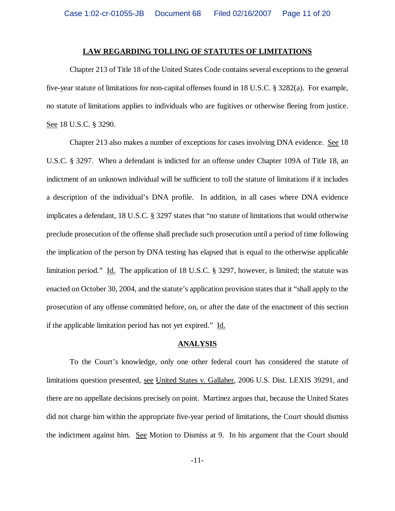#### **LAW REGARDING TOLLING OF STATUTES OF LIMITATIONS**

Chapter 213 of Title 18 of the United States Code contains several exceptions to the general five-year statute of limitations for non-capital offenses found in 18 U.S.C. § 3282(a). For example, no statute of limitations applies to individuals who are fugitives or otherwise fleeing from justice. See 18 U.S.C. § 3290.

Chapter 213 also makes a number of exceptions for cases involving DNA evidence. See 18 U.S.C. § 3297. When a defendant is indicted for an offense under Chapter 109A of Title 18, an indictment of an unknown individual will be sufficient to toll the statute of limitations if it includes a description of the individual's DNA profile. In addition, in all cases where DNA evidence implicates a defendant, 18 U.S.C. § 3297 states that "no statute of limitations that would otherwise preclude prosecution of the offense shall preclude such prosecution until a period of time following the implication of the person by DNA testing has elapsed that is equal to the otherwise applicable limitation period." Id. The application of 18 U.S.C. § 3297, however, is limited; the statute was enacted on October 30, 2004, and the statute's application provision states that it "shall apply to the prosecution of any offense committed before, on, or after the date of the enactment of this section if the applicable limitation period has not yet expired." Id.

#### **ANALYSIS**

To the Court's knowledge, only one other federal court has considered the statute of limitations question presented, see United States v. Gallaher, 2006 U.S. Dist. LEXIS 39291, and there are no appellate decisions precisely on point. Martinez argues that, because the United States did not charge him within the appropriate five-year period of limitations, the Court should dismiss the indictment against him. See Motion to Dismiss at 9. In his argument that the Court should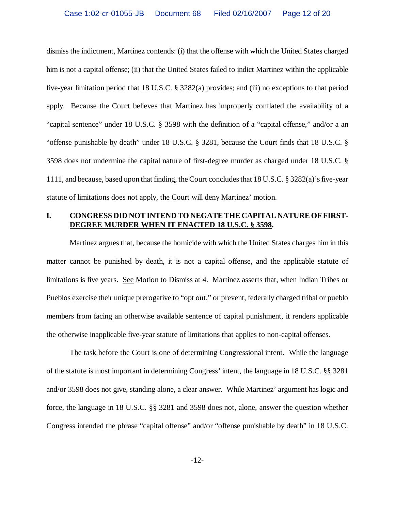dismiss the indictment, Martinez contends: (i) that the offense with which the United States charged him is not a capital offense; (ii) that the United States failed to indict Martinez within the applicable five-year limitation period that 18 U.S.C. § 3282(a) provides; and (iii) no exceptions to that period apply. Because the Court believes that Martinez has improperly conflated the availability of a "capital sentence" under 18 U.S.C. § 3598 with the definition of a "capital offense," and/or a an "offense punishable by death" under 18 U.S.C. § 3281, because the Court finds that 18 U.S.C. § 3598 does not undermine the capital nature of first-degree murder as charged under 18 U.S.C. § 1111, and because, based upon that finding, the Court concludes that 18 U.S.C. § 3282(a)'s five-year statute of limitations does not apply, the Court will deny Martinez' motion.

# **I. CONGRESS DID NOT INTEND TO NEGATE THE CAPITAL NATURE OF FIRST-DEGREE MURDER WHEN IT ENACTED 18 U.S.C. § 3598.**

Martinez argues that, because the homicide with which the United States charges him in this matter cannot be punished by death, it is not a capital offense, and the applicable statute of limitations is five years. See Motion to Dismiss at 4. Martinez asserts that, when Indian Tribes or Pueblos exercise their unique prerogative to "opt out," or prevent, federally charged tribal or pueblo members from facing an otherwise available sentence of capital punishment, it renders applicable the otherwise inapplicable five-year statute of limitations that applies to non-capital offenses.

The task before the Court is one of determining Congressional intent. While the language of the statute is most important in determining Congress' intent, the language in 18 U.S.C. §§ 3281 and/or 3598 does not give, standing alone, a clear answer. While Martinez' argument has logic and force, the language in 18 U.S.C. §§ 3281 and 3598 does not, alone, answer the question whether Congress intended the phrase "capital offense" and/or "offense punishable by death" in 18 U.S.C.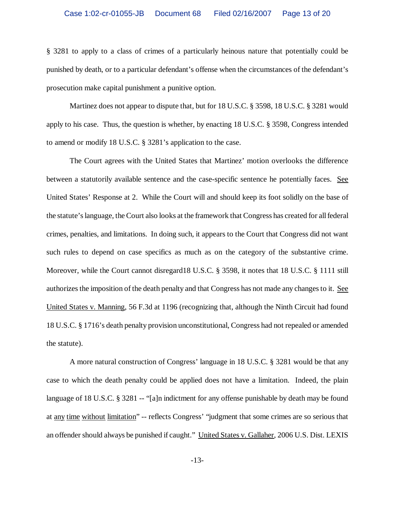§ 3281 to apply to a class of crimes of a particularly heinous nature that potentially could be punished by death, or to a particular defendant's offense when the circumstances of the defendant's prosecution make capital punishment a punitive option.

Martinez does not appear to dispute that, but for 18 U.S.C. § 3598, 18 U.S.C. § 3281 would apply to his case. Thus, the question is whether, by enacting 18 U.S.C. § 3598, Congress intended to amend or modify 18 U.S.C. § 3281's application to the case.

The Court agrees with the United States that Martinez' motion overlooks the difference between a statutorily available sentence and the case-specific sentence he potentially faces. See United States' Response at 2. While the Court will and should keep its foot solidly on the base of the statute's language, the Court also looks at the framework that Congress has created for all federal crimes, penalties, and limitations. In doing such, it appears to the Court that Congress did not want such rules to depend on case specifics as much as on the category of the substantive crime. Moreover, while the Court cannot disregard18 U.S.C. § 3598, it notes that 18 U.S.C. § 1111 still authorizes the imposition of the death penalty and that Congress has not made any changes to it. See United States v. Manning, 56 F.3d at 1196 (recognizing that, although the Ninth Circuit had found 18 U.S.C. § 1716's death penalty provision unconstitutional, Congress had not repealed or amended the statute).

A more natural construction of Congress' language in 18 U.S.C. § 3281 would be that any case to which the death penalty could be applied does not have a limitation. Indeed, the plain language of 18 U.S.C. § 3281 -- "[a]n indictment for any offense punishable by death may be found at any time without limitation" -- reflects Congress' "judgment that some crimes are so serious that an offender should always be punished if caught." United States v. Gallaher, 2006 U.S. Dist. LEXIS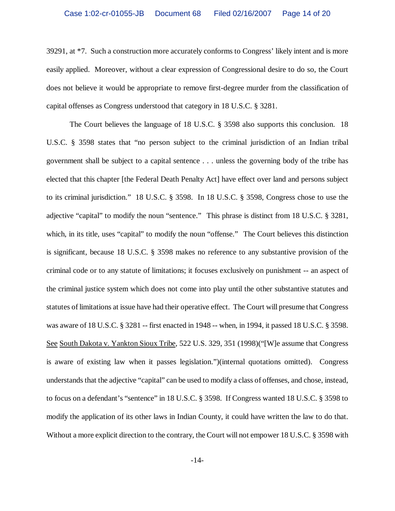39291, at \*7. Such a construction more accurately conforms to Congress' likely intent and is more easily applied. Moreover, without a clear expression of Congressional desire to do so, the Court does not believe it would be appropriate to remove first-degree murder from the classification of capital offenses as Congress understood that category in 18 U.S.C. § 3281.

The Court believes the language of 18 U.S.C. § 3598 also supports this conclusion. 18 U.S.C. § 3598 states that "no person subject to the criminal jurisdiction of an Indian tribal government shall be subject to a capital sentence . . . unless the governing body of the tribe has elected that this chapter [the Federal Death Penalty Act] have effect over land and persons subject to its criminal jurisdiction." 18 U.S.C. § 3598. In 18 U.S.C. § 3598, Congress chose to use the adjective "capital" to modify the noun "sentence." This phrase is distinct from 18 U.S.C. § 3281, which, in its title, uses "capital" to modify the noun "offense." The Court believes this distinction is significant, because 18 U.S.C. § 3598 makes no reference to any substantive provision of the criminal code or to any statute of limitations; it focuses exclusively on punishment -- an aspect of the criminal justice system which does not come into play until the other substantive statutes and statutes of limitations at issue have had their operative effect. The Court will presume that Congress was aware of 18 U.S.C. § 3281 -- first enacted in 1948 -- when, in 1994, it passed 18 U.S.C. § 3598. See South Dakota v. Yankton Sioux Tribe, 522 U.S. 329, 351 (1998)("[W]e assume that Congress is aware of existing law when it passes legislation.")(internal quotations omitted). Congress understands that the adjective "capital" can be used to modify a class of offenses, and chose, instead, to focus on a defendant's "sentence" in 18 U.S.C. § 3598. If Congress wanted 18 U.S.C. § 3598 to modify the application of its other laws in Indian County, it could have written the law to do that. Without a more explicit direction to the contrary, the Court will not empower 18 U.S.C. § 3598 with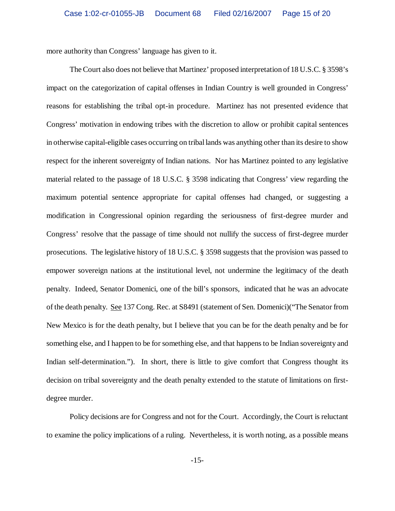more authority than Congress' language has given to it.

The Court also does not believe that Martinez' proposed interpretation of 18 U.S.C. § 3598's impact on the categorization of capital offenses in Indian Country is well grounded in Congress' reasons for establishing the tribal opt-in procedure. Martinez has not presented evidence that Congress' motivation in endowing tribes with the discretion to allow or prohibit capital sentences in otherwise capital-eligible cases occurring on tribal lands was anything other than its desire to show respect for the inherent sovereignty of Indian nations. Nor has Martinez pointed to any legislative material related to the passage of 18 U.S.C. § 3598 indicating that Congress' view regarding the maximum potential sentence appropriate for capital offenses had changed, or suggesting a modification in Congressional opinion regarding the seriousness of first-degree murder and Congress' resolve that the passage of time should not nullify the success of first-degree murder prosecutions. The legislative history of 18 U.S.C. § 3598 suggests that the provision was passed to empower sovereign nations at the institutional level, not undermine the legitimacy of the death penalty. Indeed, Senator Domenici, one of the bill's sponsors, indicated that he was an advocate of the death penalty. See 137 Cong. Rec. at S8491 (statement of Sen. Domenici)("The Senator from New Mexico is for the death penalty, but I believe that you can be for the death penalty and be for something else, and I happen to be for something else, and that happens to be Indian sovereignty and Indian self-determination."). In short, there is little to give comfort that Congress thought its decision on tribal sovereignty and the death penalty extended to the statute of limitations on firstdegree murder.

Policy decisions are for Congress and not for the Court. Accordingly, the Court is reluctant to examine the policy implications of a ruling. Nevertheless, it is worth noting, as a possible means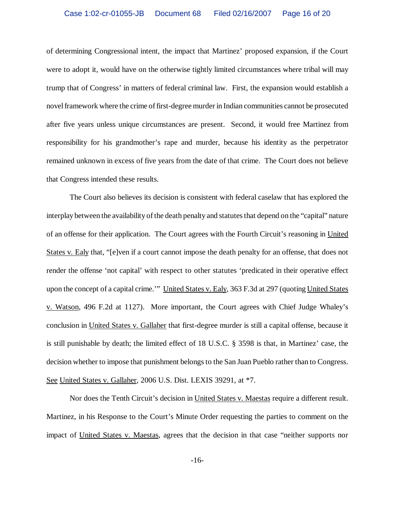of determining Congressional intent, the impact that Martinez' proposed expansion, if the Court were to adopt it, would have on the otherwise tightly limited circumstances where tribal will may trump that of Congress' in matters of federal criminal law. First, the expansion would establish a novel framework where the crime of first-degree murder in Indian communities cannot be prosecuted after five years unless unique circumstances are present. Second, it would free Martinez from responsibility for his grandmother's rape and murder, because his identity as the perpetrator remained unknown in excess of five years from the date of that crime. The Court does not believe that Congress intended these results.

The Court also believes its decision is consistent with federal caselaw that has explored the interplay between the availability of the death penalty and statutes that depend on the "capital" nature of an offense for their application. The Court agrees with the Fourth Circuit's reasoning in United States v. Ealy that, "[e]ven if a court cannot impose the death penalty for an offense, that does not render the offense 'not capital' with respect to other statutes 'predicated in their operative effect upon the concept of a capital crime."" United States v. Ealy, 363 F.3d at 297 (quoting United States v. Watson, 496 F.2d at 1127). More important, the Court agrees with Chief Judge Whaley's conclusion in United States v. Gallaher that first-degree murder is still a capital offense, because it is still punishable by death; the limited effect of 18 U.S.C. § 3598 is that, in Martinez' case, the decision whether to impose that punishment belongs to the San Juan Pueblo rather than to Congress. See United States v. Gallaher, 2006 U.S. Dist. LEXIS 39291, at \*7.

Nor does the Tenth Circuit's decision in United States v. Maestas require a different result. Martinez, in his Response to the Court's Minute Order requesting the parties to comment on the impact of United States v. Maestas, agrees that the decision in that case "neither supports nor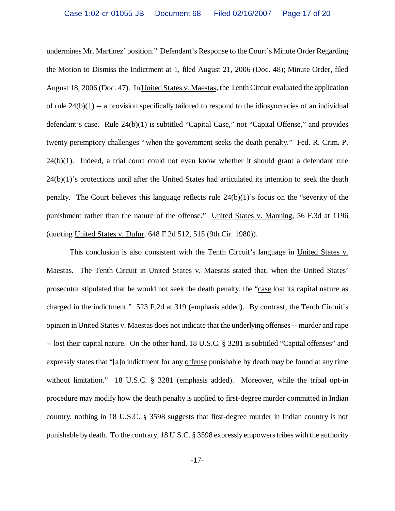undermines Mr. Martinez' position." Defendant's Response to the Court's Minute Order Regarding the Motion to Dismiss the Indictment at 1, filed August 21, 2006 (Doc. 48); Minute Order, filed August 18, 2006 (Doc. 47). In United States v. Maestas, the Tenth Circuit evaluated the application of rule 24(b)(1) -- a provision specifically tailored to respond to the idiosyncracies of an individual defendant's case. Rule 24(b)(1) is subtitled "Capital Case," not "Capital Offense," and provides twenty peremptory challenges "when the government seeks the death penalty." Fed. R. Crim. P. 24(b)(1). Indeed, a trial court could not even know whether it should grant a defendant rule 24(b)(1)'s protections until after the United States had articulated its intention to seek the death penalty. The Court believes this language reflects rule  $24(b)(1)$ 's focus on the "severity of the punishment rather than the nature of the offense." United States v. Manning, 56 F.3d at 1196 (quoting United States v. Dufur, 648 F.2d 512, 515 (9th Cir. 1980)).

This conclusion is also consistent with the Tenth Circuit's language in United States v. Maestas. The Tenth Circuit in United States v. Maestas stated that, when the United States' prosecutor stipulated that he would not seek the death penalty, the "case lost its capital nature as charged in the indictment." 523 F.2d at 319 (emphasis added). By contrast, the Tenth Circuit's opinion in United States v. Maestas does not indicate that the underlying offenses -- murder and rape -- lost their capital nature. On the other hand, 18 U.S.C. § 3281 is subtitled "Capital offenses" and expressly states that "[a]n indictment for any offense punishable by death may be found at any time without limitation." 18 U.S.C. § 3281 (emphasis added). Moreover, while the tribal opt-in procedure may modify how the death penalty is applied to first-degree murder committed in Indian country, nothing in 18 U.S.C. § 3598 suggests that first-degree murder in Indian country is not punishable by death. To the contrary, 18 U.S.C. § 3598 expressly empowers tribes with the authority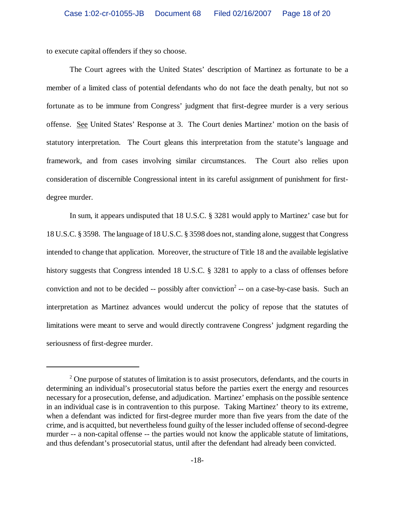to execute capital offenders if they so choose.

The Court agrees with the United States' description of Martinez as fortunate to be a member of a limited class of potential defendants who do not face the death penalty, but not so fortunate as to be immune from Congress' judgment that first-degree murder is a very serious offense. See United States' Response at 3. The Court denies Martinez' motion on the basis of statutory interpretation. The Court gleans this interpretation from the statute's language and framework, and from cases involving similar circumstances. The Court also relies upon consideration of discernible Congressional intent in its careful assignment of punishment for firstdegree murder.

In sum, it appears undisputed that 18 U.S.C. § 3281 would apply to Martinez' case but for 18 U.S.C. § 3598. The language of 18 U.S.C. § 3598 does not, standing alone, suggest that Congress intended to change that application. Moreover, the structure of Title 18 and the available legislative history suggests that Congress intended 18 U.S.C. § 3281 to apply to a class of offenses before conviction and not to be decided  $-$  possibly after conviction<sup>2</sup> $-$  on a case-by-case basis. Such an interpretation as Martinez advances would undercut the policy of repose that the statutes of limitations were meant to serve and would directly contravene Congress' judgment regarding the seriousness of first-degree murder.

<sup>&</sup>lt;sup>2</sup> One purpose of statutes of limitation is to assist prosecutors, defendants, and the courts in determining an individual's prosecutorial status before the parties exert the energy and resources necessary for a prosecution, defense, and adjudication. Martinez' emphasis on the possible sentence in an individual case is in contravention to this purpose. Taking Martinez' theory to its extreme, when a defendant was indicted for first-degree murder more than five years from the date of the crime, and is acquitted, but nevertheless found guilty of the lesser included offense of second-degree murder -- a non-capital offense -- the parties would not know the applicable statute of limitations, and thus defendant's prosecutorial status, until after the defendant had already been convicted.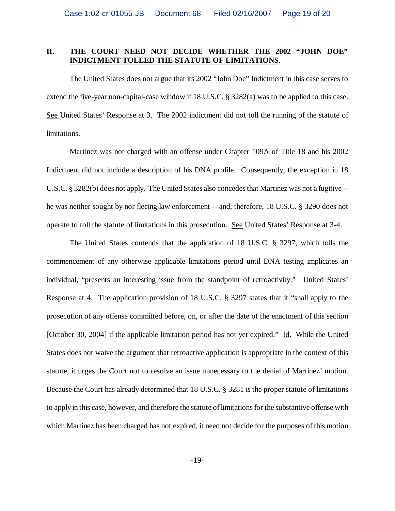# **II. THE COURT NEED NOT DECIDE WHETHER THE 2002 "JOHN DOE" INDICTMENT TOLLED THE STATUTE OF LIMITATIONS.**

The United States does not argue that its 2002 "John Doe" Indictment in this case serves to extend the five-year non-capital-case window if 18 U.S.C. § 3282(a) was to be applied to this case. See United States' Response at 3. The 2002 indictment did not toll the running of the statute of limitations.

Martinez was not charged with an offense under Chapter 109A of Title 18 and his 2002 Indictment did not include a description of his DNA profile. Consequently, the exception in 18 U.S.C. § 3282(b) does not apply. The United States also concedes that Martinez was not a fugitive - he was neither sought by nor fleeing law enforcement -- and, therefore, 18 U.S.C. § 3290 does not operate to toll the statute of limitations in this prosecution. See United States' Response at 3-4.

The United States contends that the application of 18 U.S.C. § 3297, which tolls the commencement of any otherwise applicable limitations period until DNA testing implicates an individual, "presents an interesting issue from the standpoint of retroactivity." United States' Response at 4. The application provision of 18 U.S.C. § 3297 states that it "shall apply to the prosecution of any offense committed before, on, or after the date of the enactment of this section [October 30, 2004] if the applicable limitation period has not yet expired." Id. While the United States does not waive the argument that retroactive application is appropriate in the context of this statute, it urges the Court not to resolve an issue unnecessary to the denial of Martinez' motion. Because the Court has already determined that 18 U.S.C. § 3281 is the proper statute of limitations to apply in this case, however, and therefore the statute of limitations for the substantive offense with which Martinez has been charged has not expired, it need not decide for the purposes of this motion